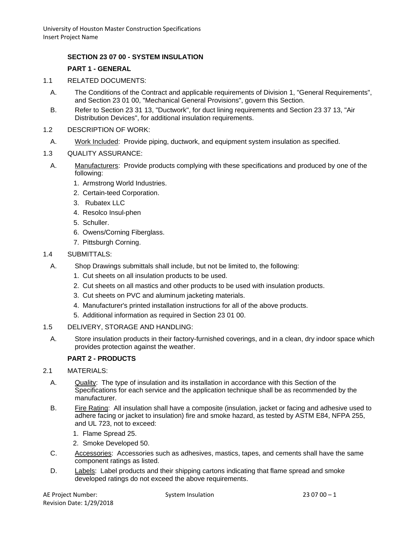### **SECTION 23 07 00 - SYSTEM INSULATION**

#### **PART 1 - GENERAL**

- 1.1 RELATED DOCUMENTS:
	- A. The Conditions of the Contract and applicable requirements of Division 1, "General Requirements", and Section 23 01 00, "Mechanical General Provisions", govern this Section.
	- B. Refer to Section 23 31 13, "Ductwork", for duct lining requirements and Section 23 37 13, "Air Distribution Devices", for additional insulation requirements.
- 1.2 DESCRIPTION OF WORK:
- A. Work Included: Provide piping, ductwork, and equipment system insulation as specified.

### 1.3 QUALITY ASSURANCE:

- A. Manufacturers: Provide products complying with these specifications and produced by one of the following:
	- 1. Armstrong World Industries.
	- 2. Certain-teed Corporation.
	- 3. Rubatex LLC
	- 4. Resolco Insul-phen
	- 5. Schuller.
	- 6. Owens/Corning Fiberglass.
	- 7. Pittsburgh Corning.
- 1.4 SUBMITTALS:
	- A. Shop Drawings submittals shall include, but not be limited to, the following:
		- 1. Cut sheets on all insulation products to be used.
		- 2. Cut sheets on all mastics and other products to be used with insulation products.
		- 3. Cut sheets on PVC and aluminum jacketing materials.
		- 4. Manufacturer's printed installation instructions for all of the above products.
		- 5. Additional information as required in Section 23 01 00.
- 1.5 DELIVERY, STORAGE AND HANDLING:
	- A. Store insulation products in their factory-furnished coverings, and in a clean, dry indoor space which provides protection against the weather.

# **PART 2 - PRODUCTS**

- 2.1 MATERIALS:
	- A. Quality: The type of insulation and its installation in accordance with this Section of the Specifications for each service and the application technique shall be as recommended by the manufacturer.
	- B. Fire Rating: All insulation shall have a composite (insulation, jacket or facing and adhesive used to adhere facing or jacket to insulation) fire and smoke hazard, as tested by ASTM E84, NFPA 255, and UL 723, not to exceed:
		- 1. Flame Spread 25.
		- 2. Smoke Developed 50.
	- C. Accessories: Accessories such as adhesives, mastics, tapes, and cements shall have the same component ratings as listed.
	- D. Labels: Label products and their shipping cartons indicating that flame spread and smoke developed ratings do not exceed the above requirements.

AE Project Number:  $S$ ystem Insulation 23 07 00 – 1 Revision Date: 1/29/2018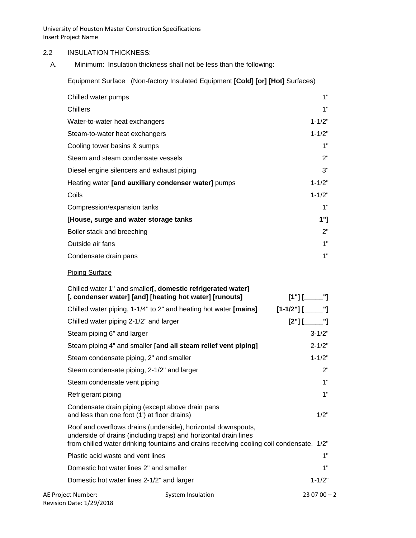### 2.2 INSULATION THICKNESS:

A. Minimum: Insulation thickness shall not be less than the following:

Equipment Surface (Non-factory Insulated Equipment **[Cold] [or] [Hot]** Surfaces)

| Chilled water pumps                                 | 1"         |
|-----------------------------------------------------|------------|
| Chillers                                            | 1"         |
| Water-to-water heat exchangers                      | $1 - 1/2"$ |
| Steam-to-water heat exchangers                      | $1 - 1/2"$ |
| Cooling tower basins & sumps                        | 1"         |
| Steam and steam condensate vessels                  | 2"         |
| Diesel engine silencers and exhaust piping          | 3"         |
| Heating water [and auxiliary condenser water] pumps | $1 - 1/2"$ |
| Coils                                               | $1 - 1/2"$ |
| Compression/expansion tanks                         | 1"         |
| [House, surge and water storage tanks               | 1"1        |
| Boiler stack and breeching                          | 2"         |
| Outside air fans                                    | 1"         |
| Condensate drain pans                               | 1"         |

### Piping Surface

|                                              | Chilled water 1" and smaller[, domestic refrigerated water]<br>[, condenser water] [and] [heating hot water] [runouts]                                                                                                        | $[1"]$ $[$ $[$ $]$ $[$ $]$ $[$ $]$ $[$ $]$ $[$ $]$ $[$ $]$ $[$ $]$ $[$ $]$ $[$ $]$ $[$ $]$ $[$ $]$ $[$ $]$ $[$ $]$ $[$ $]$ $[$ $]$ $[$ $]$ $[$ $]$ $[$ $]$ $[$ $]$ $[$ $]$ $[$ $]$ $[$ $]$ $[$ $]$ $[$ $]$ $[$ $]$ $[$ $]$ $[$ |
|----------------------------------------------|-------------------------------------------------------------------------------------------------------------------------------------------------------------------------------------------------------------------------------|--------------------------------------------------------------------------------------------------------------------------------------------------------------------------------------------------------------------------------|
|                                              | Chilled water piping, 1-1/4" to 2" and heating hot water [mains]                                                                                                                                                              |                                                                                                                                                                                                                                |
| Chilled water piping 2-1/2" and larger       |                                                                                                                                                                                                                               | $[2"]$ [                                                                                                                                                                                                                       |
| Steam piping 6" and larger                   |                                                                                                                                                                                                                               | $3 - 1/2"$                                                                                                                                                                                                                     |
|                                              | Steam piping 4" and smaller [and all steam relief vent piping]                                                                                                                                                                | $2 - 1/2"$                                                                                                                                                                                                                     |
| Steam condensate piping, 2" and smaller      |                                                                                                                                                                                                                               | $1 - 1/2"$                                                                                                                                                                                                                     |
| Steam condensate piping, 2-1/2" and larger   |                                                                                                                                                                                                                               | 2"                                                                                                                                                                                                                             |
| Steam condensate vent piping                 |                                                                                                                                                                                                                               | 1"                                                                                                                                                                                                                             |
| Refrigerant piping                           |                                                                                                                                                                                                                               | 1"                                                                                                                                                                                                                             |
| and less than one foot (1') at floor drains) | Condensate drain piping (except above drain pans                                                                                                                                                                              | 1/2"                                                                                                                                                                                                                           |
|                                              | Roof and overflows drains (underside), horizontal downspouts,<br>underside of drains (including traps) and horizontal drain lines<br>from chilled water drinking fountains and drains receiving cooling coil condensate. 1/2" |                                                                                                                                                                                                                                |
| Plastic acid waste and vent lines            |                                                                                                                                                                                                                               | 1"                                                                                                                                                                                                                             |
| Domestic hot water lines 2" and smaller      |                                                                                                                                                                                                                               | 1"                                                                                                                                                                                                                             |
| Domestic hot water lines 2-1/2" and larger   |                                                                                                                                                                                                                               | $1 - 1/2"$                                                                                                                                                                                                                     |
| AE Project Number:                           | System Insulation                                                                                                                                                                                                             | $230700 - 2$                                                                                                                                                                                                                   |

Revision Date: 1/29/2018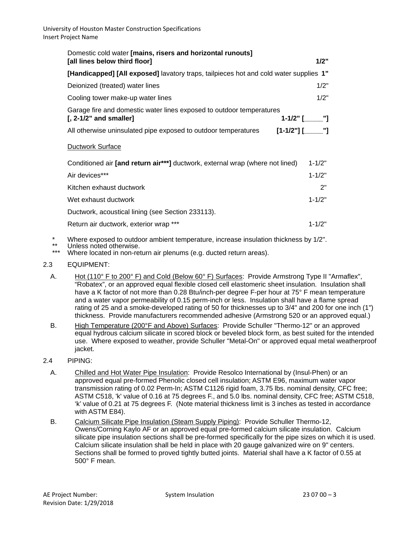| Domestic cold water [mains, risers and horizontal runouts]<br>[all lines below third floor]       | 1/2"       |  |
|---------------------------------------------------------------------------------------------------|------------|--|
| [Handicapped] [All exposed] lavatory traps, tailpieces hot and cold water supplies 1"             |            |  |
| Deionized (treated) water lines                                                                   | 1/2"       |  |
| Cooling tower make-up water lines                                                                 | 1/2"       |  |
| Garage fire and domestic water lines exposed to outdoor temperatures<br>$[$ , 2-1/2" and smaller] |            |  |
| All otherwise uninsulated pipe exposed to outdoor temperatures                                    |            |  |
| <b>Ductwork Surface</b>                                                                           |            |  |
| Conditioned air [and return air***] ductwork, external wrap (where not lined)                     | $1 - 1/2"$ |  |
| Air devices***                                                                                    | $1 - 1/2"$ |  |
| Kitchen exhaust ductwork                                                                          | 2"         |  |
| Wet exhaust ductwork                                                                              | $1 - 1/2"$ |  |
| Ductwork, acoustical lining (see Section 233113).                                                 |            |  |
| Return air ductwork, exterior wrap ***                                                            | $1 - 1/2"$ |  |

\* Where exposed to outdoor ambient temperature, increase insulation thickness by 1/2".<br>\*\* Unless noted otherwise.<br>\*\*\* Where located in non-rature oir planume (e.g. ducted rature areas).

Where located in non-return air plenums (e.g. ducted return areas).

- 2.3 EQUIPMENT:
	- A. Hot (110° F to 200° F) and Cold (Below 60° F) Surfaces: Provide Armstrong Type II "Armaflex", "Robatex", or an approved equal flexible closed cell elastomeric sheet insulation. Insulation shall have a K factor of not more than 0.28 Btu/inch-per degree F-per hour at 75° F mean temperature and a water vapor permeability of 0.15 perm-inch or less. Insulation shall have a flame spread rating of 25 and a smoke-developed rating of 50 for thicknesses up to 3/4" and 200 for one inch (1") thickness. Provide manufacturers recommended adhesive (Armstrong 520 or an approved equal.)
	- B. High Temperature (200°F and Above) Surfaces: Provide Schuller "Thermo-12" or an approved equal hydrous calcium silicate in scored block or beveled block form, as best suited for the intended use. Where exposed to weather, provide Schuller "Metal-On" or approved equal metal weatherproof jacket.
- 2.4 PIPING:
	- A. Chilled and Hot Water Pipe Insulation: Provide Resolco International by (Insul-Phen) or an approved equal pre-formed Phenolic closed cell insulation; ASTM E96, maximum water vapor transmission rating of 0.02 Perm-In; ASTM C1126 rigid foam, 3.75 lbs. nominal density, CFC free; ASTM C518, 'k' value of 0.16 at 75 degrees F., and 5.0 lbs. nominal density, CFC free; ASTM C518, 'k' value of 0.21 at 75 degrees F. (Note material thickness limit is 3 inches as tested in accordance with ASTM E84).
	- B. Calcium Silicate Pipe Insulation (Steam Supply Piping): Provide Schuller Thermo-12, Owens/Corning Kaylo AF or an approved equal pre-formed calcium silicate insulation. Calcium silicate pipe insulation sections shall be pre-formed specifically for the pipe sizes on which it is used. Calcium silicate insulation shall be held in place with 20 gauge galvanized wire on 9" centers. Sections shall be formed to proved tightly butted joints. Material shall have a K factor of 0.55 at 500° F mean.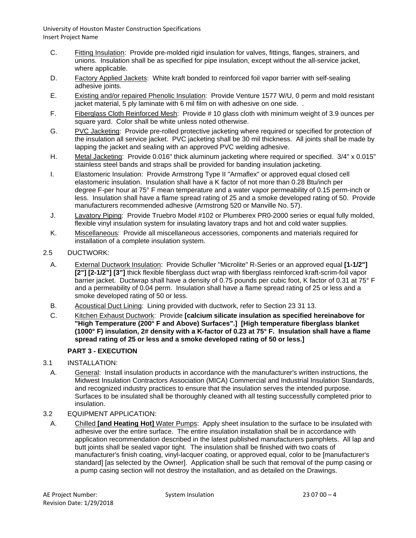- C. Fitting Insulation: Provide pre-molded rigid insulation for valves, fittings, flanges, strainers, and unions. Insulation shall be as specified for pipe insulation, except without the all-service jacket, where applicable.
- D. Factory Applied Jackets: White kraft bonded to reinforced foil vapor barrier with self-sealing adhesive joints.
- E. Existing and/or repaired Phenolic Insulation: Provide Venture 1577 W/U, 0 perm and mold resistant jacket material, 5 ply laminate with 6 mil film on with adhesive on one side. .
- F. Fiberglass Cloth Reinforced Mesh: Provide # 10 glass cloth with minimum weight of 3.9 ounces per square yard. Color shall be white unless noted otherwise.
- G. PVC Jacketing: Provide pre-rolled protective jacketing where required or specified for protection of the insulation all service jacket. PVC jacketing shall be 30 mil thickness. All joints shall be made by lapping the jacket and sealing with an approved PVC welding adhesive.
- H. Metal Jacketing: Provide 0.016" thick aluminum jacketing where required or specified. 3/4" x 0.015" stainless steel bands and straps shall be provided for banding insulation jacketing.
- I. Elastomeric Insulation: Provide Armstrong Type II "Armaflex" or approved equal closed cell elastomeric insulation. Insulation shall have a K factor of not more than 0.28 Btu/inch per degree F-per hour at 75° F mean temperature and a water vapor permeability of 0.15 perm-inch or less. Insulation shall have a flame spread rating of 25 and a smoke developed rating of 50. Provide manufacturers recommended adhesive (Armstrong 520 or Manville No. 57).
- J. Lavatory Piping: Provide Truebro Model #102 or Plumberex PR0-2000 series or equal fully molded, flexible vinyl insulation system for insulating lavatory traps and hot and cold water supplies.
- K. Miscellaneous: Provide all miscellaneous accessories, components and materials required for installation of a complete insulation system.
- 2.5 DUCTWORK:
	- A. External Ductwork Insulation: Provide Schuller "Microlite" R-Series or an approved equal **[1-1/2"] [2"] [2-1/2"] [3"]** thick flexible fiberglass duct wrap with fiberglass reinforced kraft-scrim-foil vapor barrier jacket. Ductwrap shall have a density of 0.75 pounds per cubic foot, K factor of 0.31 at 75° F and a permeability of 0.04 perm. Insulation shall have a flame spread rating of 25 or less and a smoke developed rating of 50 or less.
	- B. Acoustical Duct Lining: Lining provided with ductwork, refer to Section 23 31 13.
	- C. Kitchen Exhaust Ductwork: Provide **[calcium silicate insulation as specified hereinabove for "High Temperature (200° F and Above) Surfaces".] [High temperature fiberglass blanket (1000° F) insulation, 2# density with a K-factor of 0.23 at 75° F. Insulation shall have a flame spread rating of 25 or less and a smoke developed rating of 50 or less.]**

# **PART 3 - EXECUTION**

- 3.1 INSTALLATION:
- A. General: Install insulation products in accordance with the manufacturer's written instructions, the Midwest Insulation Contractors Association (MICA) Commercial and Industrial Insulation Standards, and recognized industry practices to ensure that the insulation serves the intended purpose. Surfaces to be insulated shall be thoroughly cleaned with all testing successfully completed prior to insulation.
- 3.2 EQUIPMENT APPLICATION:
- A. Chilled **[and Heating Hot]** Water Pumps: Apply sheet insulation to the surface to be insulated with adhesive over the entire surface. The entire insulation installation shall be in accordance with application recommendation described in the latest published manufacturers pamphlets. All lap and butt joints shall be sealed vapor tight. The insulation shall be finished with two coats of manufacturer's finish coating, vinyl-lacquer coating, or approved equal, color to be [manufacturer's standard] [as selected by the Owner]. Application shall be such that removal of the pump casing or a pump casing section will not destroy the installation, and as detailed on the Drawings.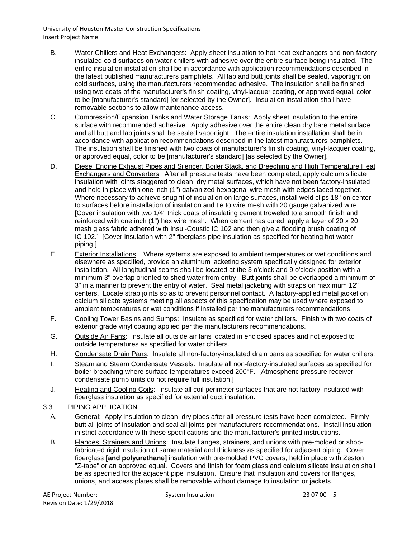- B. Water Chillers and Heat Exchangers: Apply sheet insulation to hot heat exchangers and non-factory insulated cold surfaces on water chillers with adhesive over the entire surface being insulated. The entire insulation installation shall be in accordance with application recommendations described in the latest published manufacturers pamphlets. All lap and butt joints shall be sealed, vaportight on cold surfaces, using the manufacturers recommended adhesive. The insulation shall be finished using two coats of the manufacturer's finish coating, vinyl-lacquer coating, or approved equal, color to be [manufacturer's standard] [or selected by the Owner]. Insulation installation shall have removable sections to allow maintenance access.
- C. Compression/Expansion Tanks and Water Storage Tanks: Apply sheet insulation to the entire surface with recommended adhesive. Apply adhesive over the entire clean dry bare metal surface and all butt and lap joints shall be sealed vaportight. The entire insulation installation shall be in accordance with application recommendations described in the latest manufacturers pamphlets. The insulation shall be finished with two coats of manufacturer's finish coating, vinyl-lacquer coating, or approved equal, color to be [manufacturer's standard] [as selected by the Owner].
- D. Diesel Engine Exhaust Pipes and Silencer, Boiler Stack, and Breeching and High Temperature Heat Exchangers and Converters: After all pressure tests have been completed, apply calcium silicate insulation with joints staggered to clean, dry metal surfaces, which have not been factory-insulated and hold in place with one inch (1") galvanized hexagonal wire mesh with edges laced together. Where necessary to achieve snug fit of insulation on large surfaces, install weld clips 18" on center to surfaces before installation of insulation and tie to wire mesh with 20 gauge galvanized wire. [Cover insulation with two 1/4" thick coats of insulating cement troweled to a smooth finish and reinforced with one inch (1") hex wire mesh. When cement has cured, apply a layer of 20 x 20 mesh glass fabric adhered with Insul-Coustic IC 102 and then give a flooding brush coating of IC 102.] [Cover insulation with 2" fiberglass pipe insulation as specified for heating hot water piping.]
- E. Exterior Installations: Where systems are exposed to ambient temperatures or wet conditions and elsewhere as specified, provide an aluminum jacketing system specifically designed for exterior installation. All longitudinal seams shall be located at the 3 o'clock and 9 o'clock position with a minimum 3" overlap oriented to shed water from entry. Butt joints shall be overlapped a minimum of 3" in a manner to prevent the entry of water. Seal metal jacketing with straps on maximum 12" centers. Locate strap joints so as to prevent personnel contact. A factory-applied metal jacket on calcium silicate systems meeting all aspects of this specification may be used where exposed to ambient temperatures or wet conditions if installed per the manufacturers recommendations.
- F. Cooling Tower Basins and Sumps: Insulate as specified for water chillers. Finish with two coats of exterior grade vinyl coating applied per the manufacturers recommendations.
- G. Outside Air Fans: Insulate all outside air fans located in enclosed spaces and not exposed to outside temperatures as specified for water chillers.
- H. Condensate Drain Pans: Insulate all non-factory-insulated drain pans as specified for water chillers.
- I. Steam and Steam Condensate Vessels: Insulate all non-factory-insulated surfaces as specified for boiler breaching where surface temperatures exceed 200°F. [Atmospheric pressure receiver condensate pump units do not require full insulation.]
- J. Heating and Cooling Coils: Insulate all coil perimeter surfaces that are not factory-insulated with fiberglass insulation as specified for external duct insulation.
- 3.3 PIPING APPLICATION:
	- A. General: Apply insulation to clean, dry pipes after all pressure tests have been completed. Firmly butt all joints of insulation and seal all joints per manufacturers recommendations. Install insulation in strict accordance with these specifications and the manufacturer's printed instructions.
	- B. Flanges, Strainers and Unions: Insulate flanges, strainers, and unions with pre-molded or shopfabricated rigid insulation of same material and thickness as specified for adjacent piping. Cover fiberglass **[and polyurethane]** insulation with pre-molded PVC covers, held in place with Zeston "Z-tape" or an approved equal. Covers and finish for foam glass and calcium silicate insulation shall be as specified for the adjacent pipe insulation. Ensure that insulation and covers for flanges, unions, and access plates shall be removable without damage to insulation or jackets.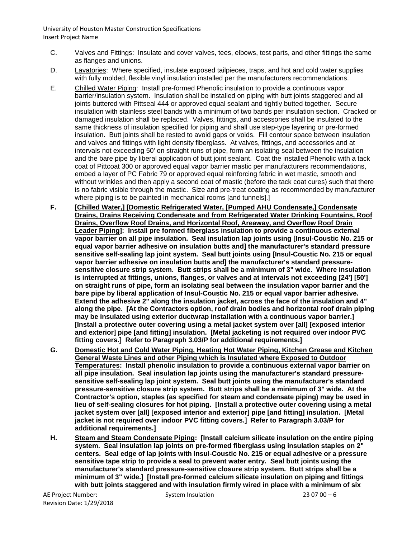- C. Valves and Fittings: Insulate and cover valves, tees, elbows, test parts, and other fittings the same as flanges and unions.
- D. Lavatories: Where specified, insulate exposed tailpieces, traps, and hot and cold water supplies with fully molded, flexible vinyl insulation installed per the manufacturers recommendations.
- E. Chilled Water Piping: Install pre-formed Phenolic insulation to provide a continuous vapor barrier/insulation system. Insulation shall be installed on piping with butt joints staggered and all joints buttered with Pittseal 444 or approved equal sealant and tightly butted together. Secure insulation with stainless steel bands with a minimum of two bands per insulation section. Cracked or damaged insulation shall be replaced. Valves, fittings, and accessories shall be insulated to the same thickness of insulation specified for piping and shall use step-type layering or pre-formed insulation. Butt joints shall be rested to avoid gaps or voids. Fill contour space between insulation and valves and fittings with light density fiberglass. At valves, fittings, and accessories and at intervals not exceeding 50' on straight runs of pipe, form an isolating seal between the insulation and the bare pipe by liberal application of butt joint sealant. Coat the installed Phenolic with a tack coat of Pittcoat 300 or approved equal vapor barrier mastic per manufacturers recommendations, embed a layer of PC Fabric 79 or approved equal reinforcing fabric in wet mastic, smooth and without wrinkles and then apply a second coat of mastic (before the tack coat cures) such that there is no fabric visible through the mastic. Size and pre-treat coating as recommended by manufacturer where piping is to be painted in mechanical rooms [and tunnels].]
- **F. [Chilled Water,] [Domestic Refrigerated Water, [Pumped AHU Condensate,] Condensate Drains, Drains Receiving Condensate and from Refrigerated Water Drinking Fountains, Roof Drains, Overflow Roof Drains, and Horizontal Roof, Areaway, and Overflow Roof Drain Leader Piping]: Install pre formed fiberglass insulation to provide a continuous external vapor barrier on all pipe insulation. Seal insulation lap joints using [Insul-Coustic No. 215 or equal vapor barrier adhesive on insulation butts and] the manufacturer's standard pressure sensitive self-sealing lap joint system. Seal butt joints using [Insul-Coustic No. 215 or equal vapor barrier adhesive on insulation butts and] the manufacturer's standard pressuresensitive closure strip system. Butt strips shall be a minimum of 3" wide. Where insulation is interrupted at fittings, unions, flanges, or valves and at intervals not exceeding [24'] [50'] on straight runs of pipe, form an isolating seal between the insulation vapor barrier and the bare pipe by liberal application of Insul-Coustic No. 215 or equal vapor barrier adhesive. Extend the adhesive 2" along the insulation jacket, across the face of the insulation and 4" along the pipe. [At the Contractors option, roof drain bodies and horizontal roof drain piping may be insulated using exterior ductwrap installation with a continuous vapor barrier.] [Install a protective outer covering using a metal jacket system over [all] [exposed interior and exterior] pipe [and fitting] insulation. [Metal jacketing is not required over indoor PVC fitting covers.] Refer to Paragraph 3.03/P for additional requirements.]**
- **G. Domestic Hot and Cold Water Piping, Heating Hot Water Piping, Kitchen Grease and Kitchen General Waste Lines and other Piping which is Insulated where Exposed to Outdoor Temperatures: Install phenolic insulation to provide a continuous external vapor barrier on all pipe insulation. Seal insulation lap joints using the manufacturer's standard pressuresensitive self-sealing lap joint system. Seal butt joints using the manufacturer's standard pressure-sensitive closure strip system. Butt strips shall be a minimum of 3" wide. At the Contractor's option, staples (as specified for steam and condensate piping) may be used in lieu of self-sealing closures for hot piping. [Install a protective outer covering using a metal jacket system over [all] [exposed interior and exterior] pipe [and fitting] insulation. [Metal jacket is not required over indoor PVC fitting covers.] Refer to Paragraph 3.03/P for additional requirements.]**
- **H. Steam and Steam Condensate Piping: [Install calcium silicate insulation on the entire piping system. Seal insulation lap joints on pre-formed fiberglass using insulation staples on 2" centers. Seal edge of lap joints with Insul-Coustic No. 215 or equal adhesive or a pressure sensitive tape strip to provide a seal to prevent water entry. Seal butt joints using the manufacturer's standard pressure-sensitive closure strip system. Butt strips shall be a minimum of 3" wide.] [Install pre-formed calcium silicate insulation on piping and fittings with butt joints staggered and with insulation firmly wired in place with a minimum of six**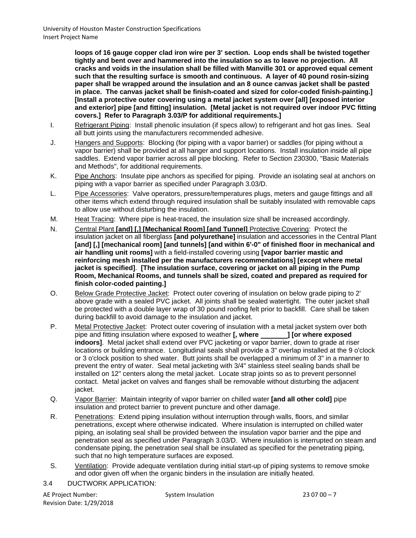**loops of 16 gauge copper clad iron wire per 3' section. Loop ends shall be twisted together tightly and bent over and hammered into the insulation so as to leave no projection. All cracks and voids in the insulation shall be filled with Manville 301 or approved equal cement such that the resulting surface is smooth and continuous. A layer of 40 pound rosin-sizing paper shall be wrapped around the insulation and an 8 ounce canvas jacket shall be pasted in place. The canvas jacket shall be finish-coated and sized for color-coded finish-painting.] [Install a protective outer covering using a metal jacket system over [all] [exposed interior and exterior] pipe [and fitting] insulation. [Metal jacket is not required over indoor PVC fitting covers.] Refer to Paragraph 3.03/P for additional requirements.]**

- I. Refrigerant Piping: Install phenolic insulation (if specs allow) to refrigerant and hot gas lines. Seal all butt joints using the manufacturers recommended adhesive.
- J. Hangers and Supports: Blocking (for piping with a vapor barrier) or saddles (for piping without a vapor barrier) shall be provided at all hanger and support locations. Install insulation inside all pipe saddles. Extend vapor barrier across all pipe blocking. Refer to Section 230300, "Basic Materials and Methods", for additional requirements.
- K. Pipe Anchors: Insulate pipe anchors as specified for piping. Provide an isolating seal at anchors on piping with a vapor barrier as specified under Paragraph 3.03/D.
- L. Pipe Accessories: Valve operators, pressure/temperatures plugs, meters and gauge fittings and all other items which extend through required insulation shall be suitably insulated with removable caps to allow use without disturbing the insulation.
- M. Heat Tracing: Where pipe is heat-traced, the insulation size shall be increased accordingly.
- N. Central Plant **[and] [,] [Mechanical Room] [and Tunnel]** Protective Covering: Protect the insulation jacket on all fiberglass **[and polyurethane]** insulation and accessories in the Central Plant **[and] [,] [mechanical room] [and tunnels] [and within 6'-0" of finished floor in mechanical and air handling unit rooms]** with a field-installed covering using **[vapor barrier mastic and reinforcing mesh installed per the manufacturers recommendations] [except where metal jacket is specified]**. **[The insulation surface, covering or jacket on all piping in the Pump Room, Mechanical Rooms, and tunnels shall be sized, coated and prepared as required for finish color-coded painting.]**
- O. Below Grade Protective Jacket: Protect outer covering of insulation on below grade piping to 2' above grade with a sealed PVC jacket. All joints shall be sealed watertight. The outer jacket shall be protected with a double layer wrap of 30 pound roofing felt prior to backfill. Care shall be taken during backfill to avoid damage to the insulation and jacket.
- P. Metal Protective Jacket: Protect outer covering of insulation with a metal jacket system over both pipe and fitting insulation where exposed to weather **[, where \_\_\_\_\_\_\_] [or where exposed indoors]**. Metal jacket shall extend over PVC jacketing or vapor barrier, down to grade at riser locations or building entrance. Longitudinal seals shall provide a 3" overlap installed at the 9 o'clock or 3 o'clock position to shed water. Butt joints shall be overlapped a minimum of 3" in a manner to prevent the entry of water. Seal metal jacketing with 3/4" stainless steel sealing bands shall be installed on 12" centers along the metal jacket. Locate strap joints so as to prevent personnel contact. Metal jacket on valves and flanges shall be removable without disturbing the adjacent jacket.
- Q. Vapor Barrier: Maintain integrity of vapor barrier on chilled water **[and all other cold]** pipe insulation and protect barrier to prevent puncture and other damage.
- R. Penetrations: Extend piping insulation without interruption through walls, floors, and similar penetrations, except where otherwise indicated. Where insulation is interrupted on chilled water piping, an isolating seal shall be provided between the insulation vapor barrier and the pipe and penetration seal as specified under Paragraph 3.03/D. Where insulation is interrupted on steam and condensate piping, the penetration seal shall be insulated as specified for the penetrating piping, such that no high temperature surfaces are exposed.
- S. Ventilation: Provide adequate ventilation during initial start-up of piping systems to remove smoke and odor given off when the organic binders in the insulation are initially heated.
- 3.4 DUCTWORK APPLICATION:

AE Project Number: System Insulation 23 07 00 – 7 Revision Date: 1/29/2018